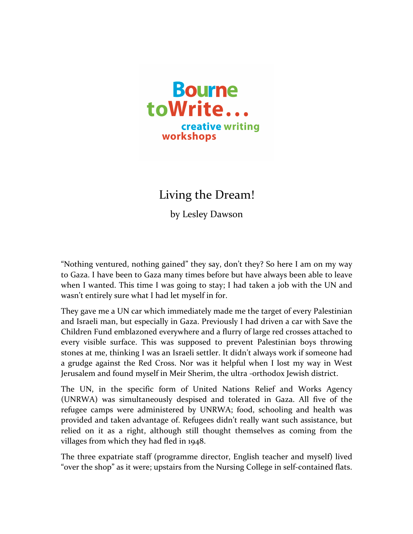

Living the Dream!

by Lesley Dawson

"Nothing ventured, nothing gained" they say, don't they? So here I am on my way to Gaza. I have been to Gaza many times before but have always been able to leave when I wanted. This time I was going to stay; I had taken a job with the UN and wasn't entirely sure what I had let myself in for.

They gave me a UN car which immediately made me the target of every Palestinian and Israeli man, but especially in Gaza. Previously I had driven a car with Save the Children Fund emblazoned everywhere and a flurry of large red crosses attached to every visible surface. This was supposed to prevent Palestinian boys throwing stones at me, thinking I was an Israeli settler. It didn't always work if someone had a grudge against the Red Cross. Nor was it helpful when I lost my way in West Jerusalem and found myself in Meir Sherim, the ultra -orthodox Jewish district.

The UN, in the specific form of United Nations Relief and Works Agency (UNRWA) was simultaneously despised and tolerated in Gaza. All five of the refugee camps were administered by UNRWA; food, schooling and health was provided and taken advantage of. Refugees didn't really want such assistance, but relied on it as a right, although still thought themselves as coming from the villages from which they had fled in 1948.

The three expatriate staff (programme director, English teacher and myself) lived "over the shop" as it were; upstairs from the Nursing College in self-contained flats.